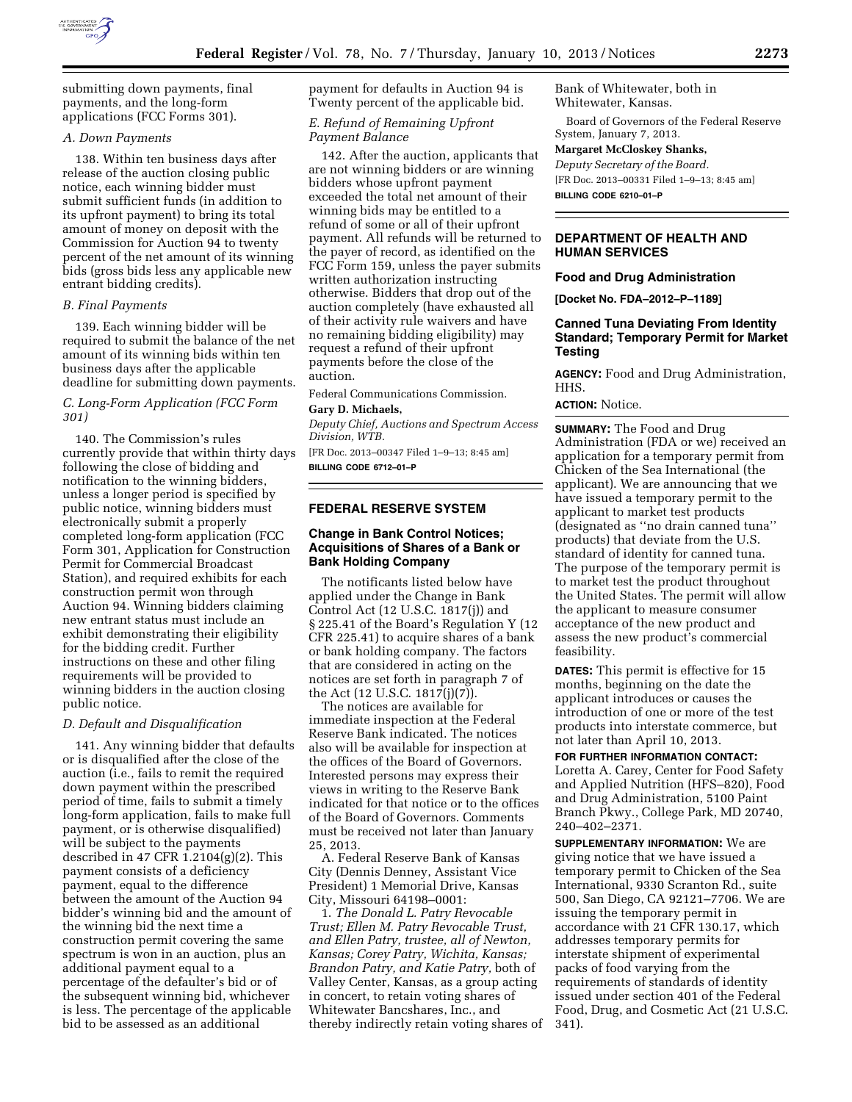

submitting down payments, final payments, and the long-form applications (FCC Forms 301).

## *A. Down Payments*

138. Within ten business days after release of the auction closing public notice, each winning bidder must submit sufficient funds (in addition to its upfront payment) to bring its total amount of money on deposit with the Commission for Auction 94 to twenty percent of the net amount of its winning bids (gross bids less any applicable new entrant bidding credits).

### *B. Final Payments*

139. Each winning bidder will be required to submit the balance of the net amount of its winning bids within ten business days after the applicable deadline for submitting down payments.

## *C. Long-Form Application (FCC Form 301)*

140. The Commission's rules currently provide that within thirty days following the close of bidding and notification to the winning bidders, unless a longer period is specified by public notice, winning bidders must electronically submit a properly completed long-form application (FCC Form 301, Application for Construction Permit for Commercial Broadcast Station), and required exhibits for each construction permit won through Auction 94. Winning bidders claiming new entrant status must include an exhibit demonstrating their eligibility for the bidding credit. Further instructions on these and other filing requirements will be provided to winning bidders in the auction closing public notice.

## *D. Default and Disqualification*

141. Any winning bidder that defaults or is disqualified after the close of the auction (i.e., fails to remit the required down payment within the prescribed period of time, fails to submit a timely long-form application, fails to make full payment, or is otherwise disqualified) will be subject to the payments described in 47 CFR 1.2104(g)(2). This payment consists of a deficiency payment, equal to the difference between the amount of the Auction 94 bidder's winning bid and the amount of the winning bid the next time a construction permit covering the same spectrum is won in an auction, plus an additional payment equal to a percentage of the defaulter's bid or of the subsequent winning bid, whichever is less. The percentage of the applicable bid to be assessed as an additional

payment for defaults in Auction 94 is Twenty percent of the applicable bid.

# *E. Refund of Remaining Upfront Payment Balance*

142. After the auction, applicants that are not winning bidders or are winning bidders whose upfront payment exceeded the total net amount of their winning bids may be entitled to a refund of some or all of their upfront payment. All refunds will be returned to the payer of record, as identified on the FCC Form 159, unless the payer submits written authorization instructing otherwise. Bidders that drop out of the auction completely (have exhausted all of their activity rule waivers and have no remaining bidding eligibility) may request a refund of their upfront payments before the close of the auction.

Federal Communications Commission.

#### **Gary D. Michaels,**

*Deputy Chief, Auctions and Spectrum Access Division, WTB.* 

[FR Doc. 2013–00347 Filed 1–9–13; 8:45 am] **BILLING CODE 6712–01–P** 

## **FEDERAL RESERVE SYSTEM**

# **Change in Bank Control Notices; Acquisitions of Shares of a Bank or Bank Holding Company**

The notificants listed below have applied under the Change in Bank Control Act (12 U.S.C. 1817(j)) and § 225.41 of the Board's Regulation Y (12 CFR 225.41) to acquire shares of a bank or bank holding company. The factors that are considered in acting on the notices are set forth in paragraph 7 of the Act (12 U.S.C. 1817(j)(7)).

The notices are available for immediate inspection at the Federal Reserve Bank indicated. The notices also will be available for inspection at the offices of the Board of Governors. Interested persons may express their views in writing to the Reserve Bank indicated for that notice or to the offices of the Board of Governors. Comments must be received not later than January 25, 2013.

A. Federal Reserve Bank of Kansas City (Dennis Denney, Assistant Vice President) 1 Memorial Drive, Kansas City, Missouri 64198–0001:

1. *The Donald L. Patry Revocable Trust; Ellen M. Patry Revocable Trust, and Ellen Patry, trustee, all of Newton, Kansas; Corey Patry, Wichita, Kansas; Brandon Patry, and Katie Patry,* both of Valley Center, Kansas, as a group acting in concert, to retain voting shares of Whitewater Bancshares, Inc., and thereby indirectly retain voting shares of Bank of Whitewater, both in Whitewater, Kansas.

Board of Governors of the Federal Reserve System, January 7, 2013.

#### **Margaret McCloskey Shanks,**

*Deputy Secretary of the Board.* 

[FR Doc. 2013–00331 Filed 1–9–13; 8:45 am]

**BILLING CODE 6210–01–P** 

# **DEPARTMENT OF HEALTH AND HUMAN SERVICES**

### **Food and Drug Administration**

**[Docket No. FDA–2012–P–1189]** 

# **Canned Tuna Deviating From Identity Standard; Temporary Permit for Market Testing**

**AGENCY:** Food and Drug Administration, HHS.

# **ACTION:** Notice.

**SUMMARY:** The Food and Drug Administration (FDA or we) received an application for a temporary permit from Chicken of the Sea International (the applicant). We are announcing that we have issued a temporary permit to the applicant to market test products (designated as ''no drain canned tuna'' products) that deviate from the U.S. standard of identity for canned tuna. The purpose of the temporary permit is to market test the product throughout the United States. The permit will allow the applicant to measure consumer acceptance of the new product and assess the new product's commercial feasibility.

**DATES:** This permit is effective for 15 months, beginning on the date the applicant introduces or causes the introduction of one or more of the test products into interstate commerce, but not later than April 10, 2013.

**FOR FURTHER INFORMATION CONTACT:**  Loretta A. Carey, Center for Food Safety and Applied Nutrition (HFS–820), Food and Drug Administration, 5100 Paint Branch Pkwy., College Park, MD 20740, 240–402–2371.

**SUPPLEMENTARY INFORMATION:** We are giving notice that we have issued a temporary permit to Chicken of the Sea International, 9330 Scranton Rd., suite 500, San Diego, CA 92121–7706. We are issuing the temporary permit in accordance with 21 CFR 130.17, which addresses temporary permits for interstate shipment of experimental packs of food varying from the requirements of standards of identity issued under section 401 of the Federal Food, Drug, and Cosmetic Act (21 U.S.C. 341).